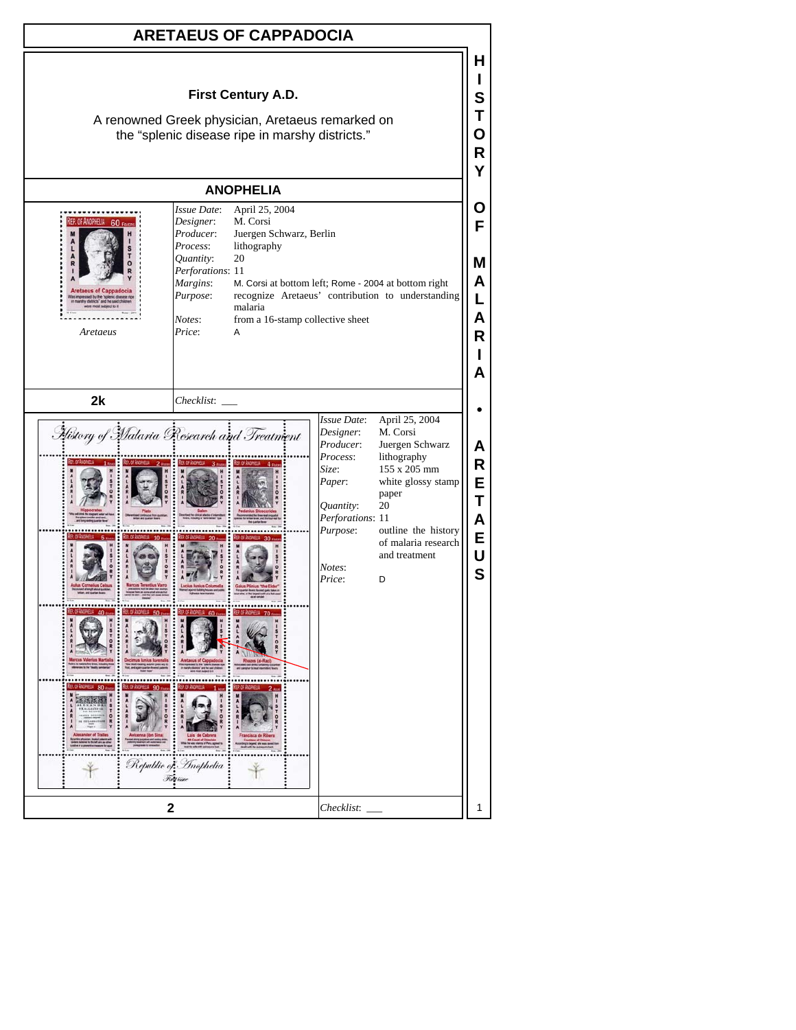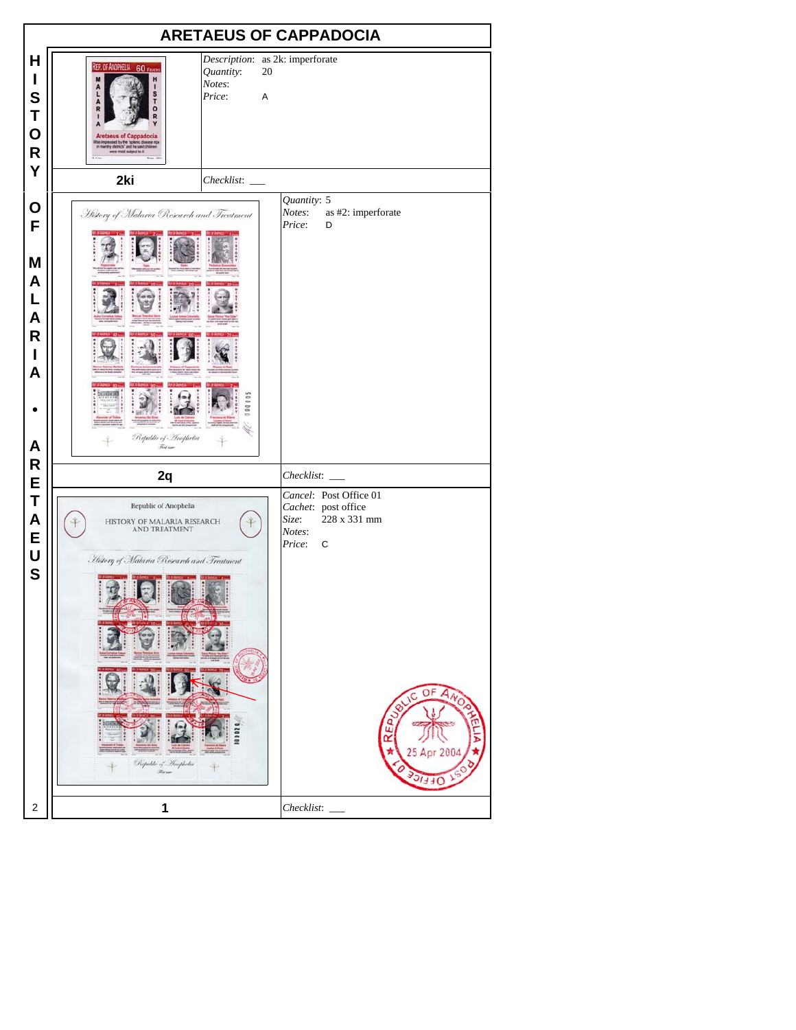| <b>ARETAEUS OF CAPPADOCIA</b>                                  |                                                                                                                                                                                                |                                                                  |                           |  |                                                                                                                                              |  |  |
|----------------------------------------------------------------|------------------------------------------------------------------------------------------------------------------------------------------------------------------------------------------------|------------------------------------------------------------------|---------------------------|--|----------------------------------------------------------------------------------------------------------------------------------------------|--|--|
| н<br>$\mathbf I$<br>S<br>T<br>$\mathbf O$<br>$\mathsf{R}$<br>Y | REP. OF ANOPHELIA 60 Fevers<br>H<br>L<br>s<br>A<br>τ<br>R<br><b>Aretaeus of Cappadocia</b><br>essed by the "splenic disease r<br>by districts" and he said children<br>were most subject to it | Description: as 2k: imperforate<br>Quantity:<br>Notes:<br>Price: | 20<br>A                   |  |                                                                                                                                              |  |  |
|                                                                | 2ki                                                                                                                                                                                            |                                                                  | Quantity: 5               |  |                                                                                                                                              |  |  |
| O<br>F<br>M<br>A<br>L<br>A<br>$\mathsf{R}$<br>I<br>A<br>A      | History of Malaria Research and Treatment<br>Republic of Anophelia<br><b>Red line</b>                                                                                                          | 000005                                                           | Notes:<br>Price:          |  | as #2: imperforate<br>D                                                                                                                      |  |  |
| R<br>E                                                         | 2q                                                                                                                                                                                             |                                                                  |                           |  | Checklist: ____                                                                                                                              |  |  |
| T<br>A<br>E<br>U<br>S                                          | Republic of Anophelia<br>HISTORY OF MALARIA RESEARCH<br>AND TREATMENT<br>History of Malaria Research and Treatment<br>Republic of Inophelia<br><b>Resident</b>                                 |                                                                  | Size:<br>Notes:<br>Price: |  | Cancel: Post Office 01<br>Cachet: post office<br>228 x 331 mm<br>$\mathbf C$<br>OF<br>$A_{N_O}$<br>۱C<br>E <sub>D</sub><br>œ<br>2004<br>JEEV |  |  |
| $\overline{\mathbf{c}}$                                        | 1                                                                                                                                                                                              |                                                                  | Checklist:                |  |                                                                                                                                              |  |  |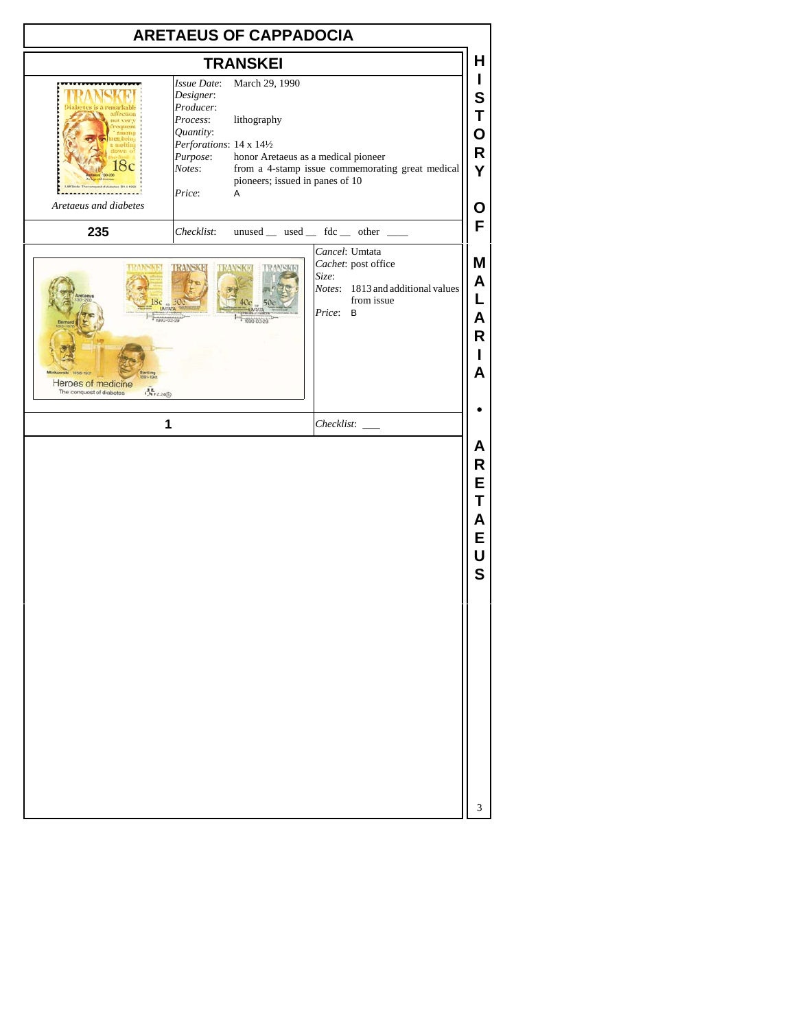| <b>ARETAEUS OF CAPPADOCIA</b>                                                             |                                                                                                                                                                                                     |                                                                                                                                                                                                                |  |  |  |  |  |
|-------------------------------------------------------------------------------------------|-----------------------------------------------------------------------------------------------------------------------------------------------------------------------------------------------------|----------------------------------------------------------------------------------------------------------------------------------------------------------------------------------------------------------------|--|--|--|--|--|
|                                                                                           | <b>TRANSKEI</b>                                                                                                                                                                                     | н                                                                                                                                                                                                              |  |  |  |  |  |
| affection<br>ot very<br>Aretaeus and diabetes                                             | Issue Date:<br>March 29, 1990<br>Designer:<br>Producer:<br>Process:<br>lithography<br>Quantity:<br>Perforations: 14 x 141/2<br>Purpose:<br>Notes:<br>pioneers; issued in panes of 10<br>Price:<br>A | L<br>S<br>Τ<br>O<br>$\mathsf R$<br>honor Aretaeus as a medical pioneer<br>from a 4-stamp issue commemorating great medical<br>Ý<br>О<br>F                                                                      |  |  |  |  |  |
| 235                                                                                       | Checklist:                                                                                                                                                                                          | unused $\_\$ used $\_\$ fdc $\_\$ other $\_\_$                                                                                                                                                                 |  |  |  |  |  |
| Sс<br>1858-1931<br>Heroes of medicine<br>$C_{112,24(5)}$<br>The conquest of diabetes<br>1 | IRAI<br>000-03-29                                                                                                                                                                                   | Cancel: Umtata<br>M<br>Cachet: post office<br>Size:<br>A<br>Notes: 1813 and additional values<br>L<br>from issue<br>Price:<br>B<br>Α<br>R<br>A<br>Checklist:<br>Α<br>R<br>E<br>Т<br>A<br>E<br>U<br>$\mathbf S$ |  |  |  |  |  |